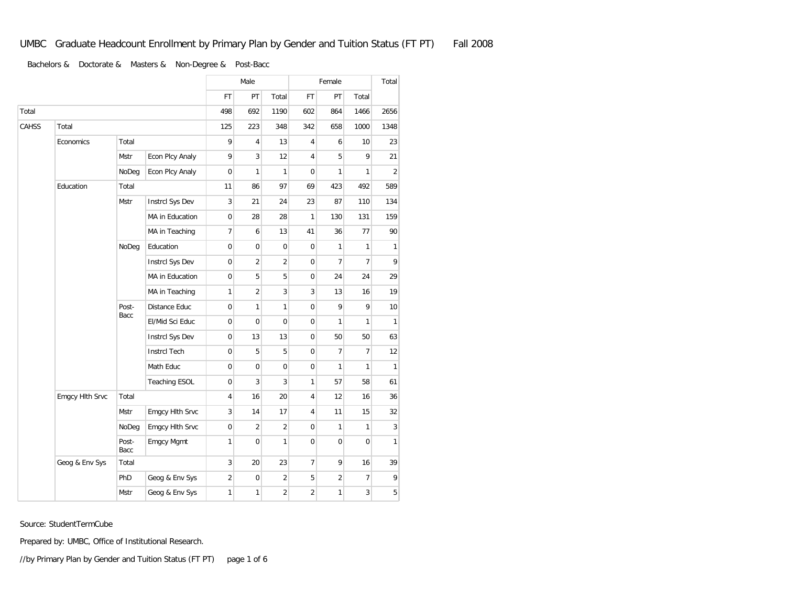|       |                 |               |                      |                     | Male           |                |                | Female         |                |                |
|-------|-----------------|---------------|----------------------|---------------------|----------------|----------------|----------------|----------------|----------------|----------------|
|       |                 |               |                      | <b>FT</b>           | PT             | Total          | FT             | PT             | Total          |                |
| Total |                 |               | 498                  | 692                 | 1190           | 602            | 864            | 1466           | 2656           |                |
| CAHSS | Total           |               |                      | 125                 | 223            | 348            | 342            | 658            | 1000           | 1348           |
|       | Economics       | Total         |                      | 9                   | 4              | 13             | 4              | 6              | 10             | 23             |
|       |                 | Mstr          | Econ Plcy Analy      | 9                   | 3              | 12             | 4              | 5              | 9              | 21             |
|       |                 | NoDeg         | Econ Plcy Analy      | $\mathsf{O}\xspace$ | 1              | $\mathbf{1}$   | 0              | 1              | $\mathbf{1}$   | $\overline{2}$ |
|       | Education       | Total         |                      | 11                  | 86             | 97             | 69             | 423            | 492            | 589            |
|       |                 | <b>Mstr</b>   | Instrcl Sys Dev      | 3                   | 21             | 24             | 23             | 87             | 110            | 134            |
|       |                 |               | MA in Education      | $\mathbf 0$         | 28             | 28             | 1              | 130            | 131            | 159            |
|       |                 |               | MA in Teaching       | 7                   | 6              | 13             | 41             | 36             | 77             | 90             |
|       |                 | NoDeg         | Education            | $\overline{0}$      | 0              | $\mathbf 0$    | $\mathbf 0$    | $\mathbf{1}$   | $\mathbf{1}$   | $\mathbf{1}$   |
|       |                 |               | Instrcl Sys Dev      | $\overline{0}$      | $\overline{c}$ | $\overline{2}$ | $\mathbf 0$    | $\overline{7}$ | $\overline{7}$ | 9              |
|       |                 |               | MA in Education      | $\overline{0}$      | 5              | 5              | $\mathbf 0$    | 24             | 24             | 29             |
|       |                 |               | MA in Teaching       | 1                   | $\overline{2}$ | 3              | 3              | 13             | 16             | 19             |
|       |                 | Post-<br>Bacc | Distance Educ        | $\overline{0}$      | 1              | 1              | $\mathbf 0$    | 9              | 9              | 10             |
|       |                 |               | El/Mid Sci Educ      | 0                   | 0              | $\mathbf 0$    | 0              | 1              | 1              | 1              |
|       |                 |               | Instrcl Sys Dev      | 0                   | 13             | 13             | 0              | 50             | 50             | 63             |
|       |                 |               | <b>Instrcl Tech</b>  | $\mathbf 0$         | 5              | 5              | $\mathbf 0$    | $\overline{7}$ | $\overline{7}$ | 12             |
|       |                 |               | Math Educ            | $\overline{0}$      | $\mathbf 0$    | $\mathbf 0$    | $\mathbf 0$    | $\mathbf{1}$   | $\mathbf{1}$   | $\mathbf{1}$   |
|       |                 |               | <b>Teaching ESOL</b> | $\mathbf 0$         | 3              | 3              | $\mathbf{1}$   | 57             | 58             | 61             |
|       | Emgcy Hlth Srvc | Total         |                      | 4                   | 16             | 20             | 4              | 12             | 16             | 36             |
|       |                 | Mstr          | Emgcy Hlth Srvc      | 3                   | 14             | 17             | 4              | 11             | 15             | 32             |
|       |                 | NoDeg         | Emgcy Hlth Srvc      | $\mathbf 0$         | $\overline{2}$ | $\overline{c}$ | $\mathbf 0$    | 1              | $\mathbf{1}$   | 3              |
|       |                 | Post-<br>Bacc | Emgcy Mgmt           | 1                   | 0              | 1              | $\mathbf 0$    | 0              | $\mathbf{0}$   | $\mathbf{1}$   |
|       | Geog & Env Sys  | Total         |                      | 3                   | 20             | 23             | $\overline{7}$ | 9              | 16             | 39             |
|       |                 | PhD           | Geog & Env Sys       | $\overline{2}$      | 0              | $\overline{c}$ | 5              | $\overline{2}$ | $\overline{7}$ | 9              |
|       |                 | Mstr          | Geog & Env Sys       | 1                   | 1              | $\overline{c}$ | $\overline{2}$ | 1              | 3              | 5              |

Source: StudentTermCube

Prepared by: UMBC, Office of Institutional Research.

//by Primary Plan by Gender and Tuition Status (FT PT) page 1 of 6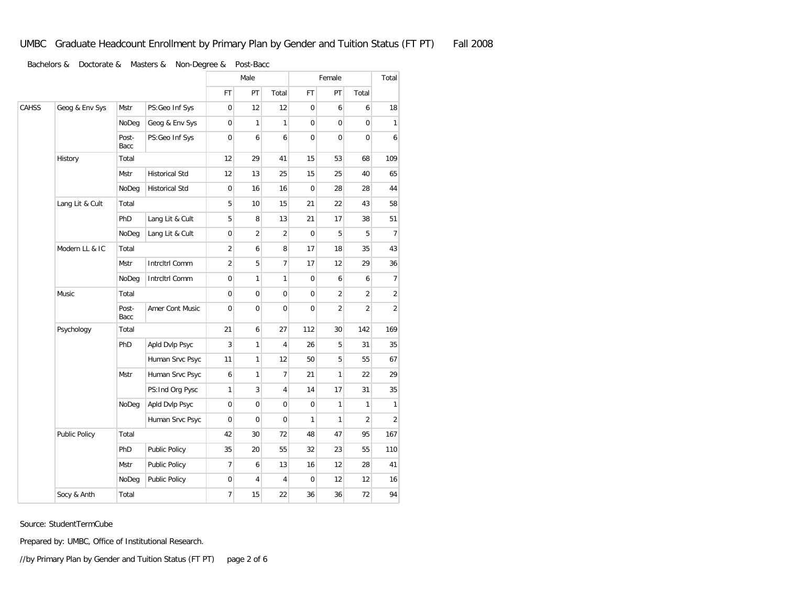|       |                 |               |                       |                | Male                |                | Female              |                |                | Total          |
|-------|-----------------|---------------|-----------------------|----------------|---------------------|----------------|---------------------|----------------|----------------|----------------|
|       |                 |               |                       | <b>FT</b>      | PT                  | Total          | <b>FT</b>           | PT             | Total          |                |
| CAHSS | Geog & Env Sys  | Mstr          | PS:Geo Inf Sys        | 0              | 12                  | 12             | 0                   | 6              | 6              | 18             |
|       |                 | NoDeg         | Geog & Env Sys        | $\overline{0}$ | 1                   | 1              | $\mathbf 0$         | $\mathbf 0$    | $\mathbf 0$    | $\mathbf{1}$   |
|       |                 | Post-<br>Bacc | PS:Geo Inf Sys        | $\mathbf 0$    | 6                   | 6              | 0                   | $\mathbf 0$    | 0              | 6              |
|       | History         | Total         |                       | 12             | 29                  | 41             | 15                  | 53             | 68             | 109            |
|       |                 | Mstr          | <b>Historical Std</b> | 12             | 13                  | 25             | 15                  | 25             | 40             | 65             |
|       |                 | NoDeg         | <b>Historical Std</b> | $\mathbf 0$    | 16                  | 16             | 0                   | 28             | 28             | 44             |
|       | Lang Lit & Cult | Total         |                       | 5              | 10                  | 15             | 21                  | 22             | 43             | 58             |
|       |                 | PhD           | Lang Lit & Cult       | 5              | 8                   | 13             | 21                  | 17             | 38             | 51             |
|       |                 | NoDeg         | Lang Lit & Cult       | $\mathbf 0$    | $\overline{2}$      | $\overline{2}$ | $\mathbf 0$         | 5              | 5              | $\overline{7}$ |
|       | Modern LL & IC  | Total         |                       | $\overline{2}$ | 6                   | 8              | 17                  | 18             | 35             | 43             |
|       |                 | <b>Mstr</b>   | Intrcltrl Comm        | $\overline{2}$ | 5                   | $\overline{7}$ | 17                  | 12             | 29             | 36             |
|       |                 | NoDeg         | Intrcltrl Comm        | $\mathbf 0$    | $\mathbf{1}$        | $\mathbf{1}$   | $\mathsf{O}\xspace$ | 6              | 6              | $\overline{7}$ |
|       | Music           | Total         |                       | $\mathbf 0$    | 0                   | 0              | 0                   | $\overline{2}$ | $\overline{2}$ | $\overline{2}$ |
|       |                 | Post-<br>Bacc | Amer Cont Music       | 0              | 0                   | $\mathbf 0$    | $\mathbf 0$         | $\overline{2}$ | $\overline{2}$ | $\overline{2}$ |
|       | Psychology      | Total         |                       | 21             | 6                   | 27             | 112                 | 30             | 142            | 169            |
|       |                 | PhD           | Apld Dvlp Psyc        | 3              | $\mathbf{1}$        | $\overline{4}$ | 26                  | 5              | 31             | 35             |
|       |                 |               | Human Srvc Psyc       | 11             | $\mathbf{1}$        | 12             | 50                  | 5              | 55             | 67             |
|       |                 | Mstr          | Human Srvc Psyc       | 6              | 1                   | $\overline{7}$ | 21                  | 1              | 22             | 29             |
|       |                 |               | PS: Ind Org Pysc      | 1              | 3                   | 4              | 14                  | 17             | 31             | 35             |
|       |                 | NoDeg         | Apld Dvlp Psyc        | $\mathbf 0$    | $\mathbf 0$         | $\mathbf 0$    | 0                   | $\mathbf{1}$   | 1              | 1              |
|       |                 |               | Human Srvc Psyc       | $\overline{0}$ | $\mathsf{O}\xspace$ | $\overline{0}$ | 1                   | $\mathbf{1}$   | $\overline{2}$ | $\overline{2}$ |
|       | Public Policy   | Total         |                       | 42             | 30                  | 72             | 48                  | 47             | 95             | 167            |
|       |                 | PhD           | Public Policy         | 35             | 20                  | 55             | 32                  | 23             | 55             | 110            |
|       |                 | Mstr          | Public Policy         | 7              | 6                   | 13             | 16                  | 12             | 28             | 41             |
|       |                 | NoDeg         | Public Policy         | $\mathbf 0$    | 4                   | $\overline{4}$ | $\mathbf 0$         | 12             | 12             | 16             |
|       | Socy & Anth     | Total         |                       | 7              | 15                  | 22             | 36                  | 36             | 72             | 94             |

Source: StudentTermCube

Prepared by: UMBC, Office of Institutional Research.

//by Primary Plan by Gender and Tuition Status (FT PT) page 2 of 6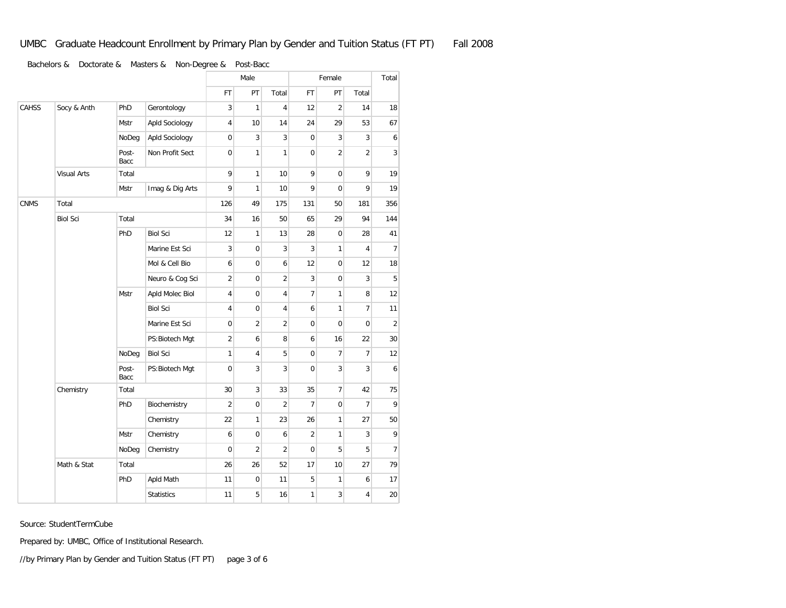|              |                    |               |                   |                     | Male           |                | Female              |                     |                | Total          |
|--------------|--------------------|---------------|-------------------|---------------------|----------------|----------------|---------------------|---------------------|----------------|----------------|
|              |                    |               |                   | FT                  | PT             | Total          | FT                  | PT                  | Total          |                |
| <b>CAHSS</b> | Socy & Anth        | PhD           | Gerontology       | 3                   | 1              | 4              | 12                  | $\overline{2}$      | 14             | 18             |
|              |                    | Mstr          | Apld Sociology    | 4                   | 10             | 14             | 24                  | 29                  | 53             | 67             |
|              |                    | NoDeg         | Apld Sociology    | $\mathsf{O}\xspace$ | 3              | 3              | $\overline{0}$      | 3                   | 3              | 6              |
|              |                    | Post-<br>Bacc | Non Profit Sect   | $\mathbf 0$         | 1              | 1              | $\mathbf 0$         | $\overline{2}$      | $\overline{2}$ | 3              |
|              | <b>Visual Arts</b> | Total         |                   | 9                   | 1              | 10             | 9                   | 0                   | 9              | 19             |
|              |                    | Mstr          | Imag & Dig Arts   | 9                   | 1              | 10             | 9                   | 0                   | 9              | 19             |
| <b>CNMS</b>  | Total              |               | 126               | 49                  | 175            | 131            | 50                  | 181                 | 356            |                |
|              | <b>Biol Sci</b>    | Total         |                   | 34                  | 16             | 50             | 65                  | 29                  | 94             | 144            |
|              |                    | PhD           | <b>Biol Sci</b>   | 12                  | 1              | 13             | 28                  | 0                   | 28             | 41             |
|              |                    |               | Marine Est Sci    | 3                   | 0              | 3              | 3                   | 1                   | 4              | $\overline{7}$ |
|              |                    |               | Mol & Cell Bio    | 6                   | 0              | 6              | 12                  | 0                   | 12             | 18             |
|              |                    |               | Neuro & Cog Sci   | $\overline{2}$      | $\mathbf 0$    | $\overline{c}$ | 3                   | $\mathsf{O}\xspace$ | 3              | $\sqrt{5}$     |
|              |                    | Mstr          | Apld Molec Biol   | 4                   | 0              | 4              | $\overline{7}$      | 1                   | 8              | 12             |
|              |                    |               | <b>Biol Sci</b>   | 4                   | 0              | 4              | 6                   | 1                   | $\overline{7}$ | 11             |
|              |                    |               | Marine Est Sci    | 0                   | $\overline{2}$ | $\overline{2}$ | $\mathbf 0$         | 0                   | $\mathbf 0$    | $\overline{2}$ |
|              |                    |               | PS: Biotech Mgt   | $\overline{2}$      | 6              | 8              | 6                   | 16                  | 22             | 30             |
|              |                    | NoDeg         | <b>Biol Sci</b>   | 1                   | 4              | 5              | $\mathsf{O}\xspace$ | 7                   | $\overline{7}$ | 12             |
|              |                    | Post-<br>Bacc | PS: Biotech Mgt   | $\mathbf 0$         | 3              | 3              | $\mathbf 0$         | 3                   | 3              | 6              |
|              | Chemistry          | Total         |                   | 30                  | 3              | 33             | 35                  | 7                   | 42             | 75             |
|              |                    | PhD           | Biochemistry      | $\overline{2}$      | $\mathbf 0$    | $\overline{2}$ | $\overline{7}$      | $\mathsf{O}\xspace$ | $\overline{7}$ | 9              |
|              |                    |               | Chemistry         | 22                  | 1              | 23             | 26                  | $\mathbf{1}$        | 27             | 50             |
|              |                    | Mstr          | Chemistry         | 6                   | 0              | 6              | $\overline{2}$      | 1                   | 3              | 9              |
|              |                    | NoDeg         | Chemistry         | $\mathbf 0$         | $\overline{2}$ | $\overline{2}$ | $\mathbf 0$         | 5                   | 5              | $\overline{7}$ |
|              | Math & Stat        | Total         |                   | 26                  | 26             | 52             | 17                  | 10                  | 27             | 79             |
|              |                    | PhD           | Apld Math         | 11                  | $\bf 0$        | 11             | 5                   | 1                   | 6              | 17             |
|              |                    |               | <b>Statistics</b> | 11                  | 5              | 16             | 1                   | 3                   | 4              | 20             |

Source: StudentTermCube

Prepared by: UMBC, Office of Institutional Research.

//by Primary Plan by Gender and Tuition Status (FT PT) page 3 of 6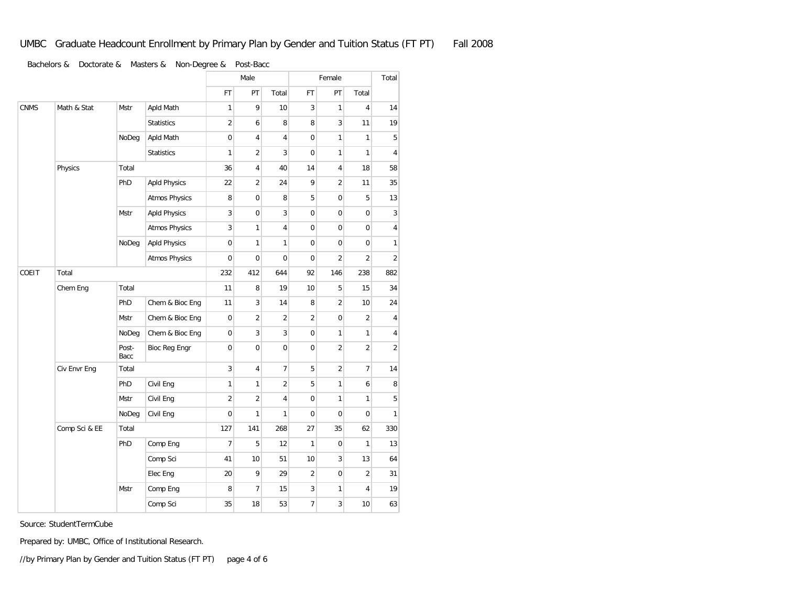|             |               |               |                      |                     | Male           |                |                | Female         |                                                                                                                                                                                                                                                                                                 | Total          |
|-------------|---------------|---------------|----------------------|---------------------|----------------|----------------|----------------|----------------|-------------------------------------------------------------------------------------------------------------------------------------------------------------------------------------------------------------------------------------------------------------------------------------------------|----------------|
|             |               |               |                      | <b>FT</b>           | PT             | Total          | <b>FT</b>      | PT             | Total                                                                                                                                                                                                                                                                                           |                |
| <b>CNMS</b> | Math & Stat   | <b>Mstr</b>   | Apld Math            | $\mathbf{1}$        | 9              | 10             | 3              | $\mathbf{1}$   | $\overline{4}$                                                                                                                                                                                                                                                                                  | 14             |
|             |               |               | <b>Statistics</b>    | $\sqrt{2}$          | 6              | 8              | 8              | 3              | 11<br>$\mathbf{1}$<br>$\mathbf{1}$<br>18<br>11<br>5<br>$\boldsymbol{0}$<br>$\mathbf 0$<br>$\mathbf 0$<br>$\overline{2}$<br>238<br>15<br>10<br>$\overline{2}$<br>1<br>$\overline{2}$<br>$\overline{7}$<br>6<br>$\mathbf{1}$<br>$\Omega$<br>62<br>$\mathbf{1}$<br>13<br>2<br>$\overline{4}$<br>10 | 19             |
|             |               | NoDeg         | Apld Math            | $\mathbf 0$         | 4              | 4              | 0              | 1              |                                                                                                                                                                                                                                                                                                 | 5              |
|             |               |               | <b>Statistics</b>    | $\mathbf{1}$        | $\overline{2}$ | 3              | 0              | 1              |                                                                                                                                                                                                                                                                                                 | 4              |
|             | Physics       | Total         |                      | 36                  | 4              | 40             | 14             | 4              |                                                                                                                                                                                                                                                                                                 | 58             |
|             |               | PhD           | <b>Apld Physics</b>  | 22                  | $\overline{2}$ | 24             | 9              | $\overline{2}$ |                                                                                                                                                                                                                                                                                                 | 35             |
|             |               |               | <b>Atmos Physics</b> | 8                   | $\mathbf 0$    | 8              | 5              | 0              |                                                                                                                                                                                                                                                                                                 | 13             |
|             |               | Mstr          | <b>Apld Physics</b>  | $\sqrt{3}$          | $\mathbf 0$    | 3              | 0              | 0              |                                                                                                                                                                                                                                                                                                 | 3              |
|             |               |               | <b>Atmos Physics</b> | 3                   | 1              | 4              | 0              | 0              |                                                                                                                                                                                                                                                                                                 | 4              |
|             |               | NoDeg         | <b>Apld Physics</b>  | 0                   | 1              | 1              | 0              | 0              |                                                                                                                                                                                                                                                                                                 | 1              |
|             |               |               | <b>Atmos Physics</b> | $\mathbf 0$         | 0              | 0              | 0<br>2         |                | $\overline{2}$                                                                                                                                                                                                                                                                                  |                |
| COEIT       | Total         |               |                      | 232                 | 412            | 644            | 92             | 146            |                                                                                                                                                                                                                                                                                                 | 882            |
|             | Chem Eng      | Total         |                      | 11                  | 8              | 19             | 10             | 5              |                                                                                                                                                                                                                                                                                                 | 34             |
|             |               | PhD           | Chem & Bioc Eng      | 11                  | 3              | 14             | 8              | $\overline{c}$ |                                                                                                                                                                                                                                                                                                 | 24             |
|             |               | Mstr          | Chem & Bioc Eng      | 0                   | $\overline{2}$ | $\overline{2}$ | $\overline{2}$ | $\mathbf 0$    |                                                                                                                                                                                                                                                                                                 | 4              |
|             |               | NoDeg         | Chem & Bioc Eng      | $\mathsf{O}\xspace$ | 3              | 3              | 0              | 1              |                                                                                                                                                                                                                                                                                                 | 4              |
|             |               | Post-<br>Bacc | Bioc Reg Engr        | $\mathbf 0$         | $\mathbf 0$    | $\overline{0}$ | 0              | $\overline{c}$ |                                                                                                                                                                                                                                                                                                 | $\overline{2}$ |
|             | Civ Envr Eng  | Total         |                      | 3                   | 4              | $\overline{7}$ | 5              | $\overline{c}$ |                                                                                                                                                                                                                                                                                                 | 14             |
|             |               | PhD           | Civil Eng            | $\mathbf{1}$        | 1              | $\overline{2}$ | 5              | 1              |                                                                                                                                                                                                                                                                                                 | 8              |
|             |               | Mstr          | Civil Eng            | $\overline{2}$      | $\overline{2}$ | 4              | 0              | 1              |                                                                                                                                                                                                                                                                                                 | 5              |
|             |               | NoDeg         | Civil Eng            | $\mathbf 0$         | 1              | 1              | 0              | 0              |                                                                                                                                                                                                                                                                                                 | 1              |
|             | Comp Sci & EE | Total         |                      | 127                 | 141            | 268            | 27             | 35             |                                                                                                                                                                                                                                                                                                 | 330            |
|             |               | PhD           | Comp Eng             | $\overline{7}$      | 5              | 12             | $\mathbf{1}$   | 0              |                                                                                                                                                                                                                                                                                                 | 13             |
|             |               |               | Comp Sci             | 41                  | 10             | 51             | 10             | 3              |                                                                                                                                                                                                                                                                                                 | 64             |
|             |               |               | Elec Eng             | 20                  | 9              | 29             | $\overline{2}$ | 0              |                                                                                                                                                                                                                                                                                                 | 31             |
|             |               | <b>Mstr</b>   | Comp Eng             | 8                   | $\overline{7}$ | 15             | 3              | 1              |                                                                                                                                                                                                                                                                                                 | 19             |
|             |               |               | Comp Sci             | 35                  | 18             | 53             | $\overline{7}$ | 3              |                                                                                                                                                                                                                                                                                                 | 63             |

Source: StudentTermCube

Prepared by: UMBC, Office of Institutional Research.

//by Primary Plan by Gender and Tuition Status (FT PT) page 4 of 6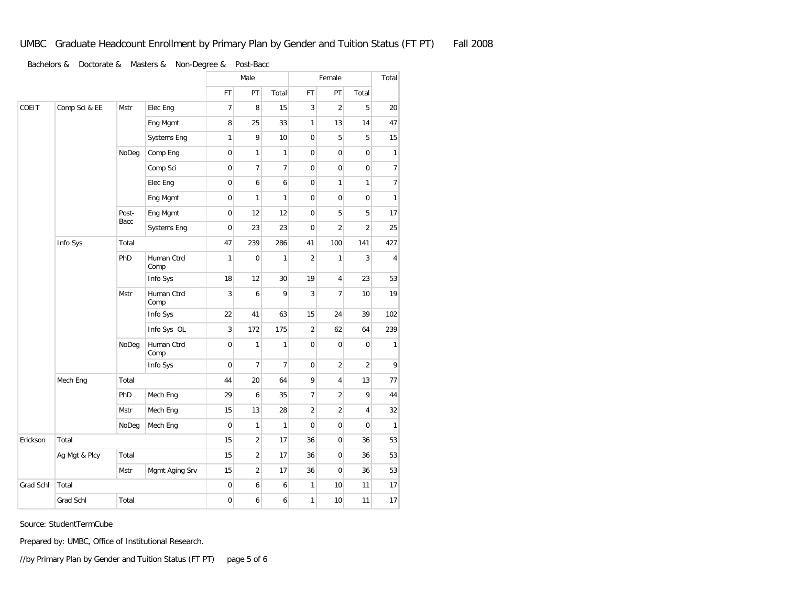|           |               |               |                    | Male           |                |                |                     | Female           |                |              |
|-----------|---------------|---------------|--------------------|----------------|----------------|----------------|---------------------|------------------|----------------|--------------|
|           |               |               |                    | <b>FT</b>      | PT             | Total          | <b>FT</b>           | PT               | Total          |              |
| COEIT     | Comp Sci & EE | Mstr          | Elec Eng           | $\overline{7}$ | 8              | 15             | 3                   | $\overline{2}$   | 5              | 20           |
|           |               |               | Eng Mgmt           | 8              | 25             | 33             | 1                   | 13               | 14             | 47           |
|           |               |               | Systems Eng        | $\mathbf{1}$   | 9              | 10             | 0                   | 5                | 5              | 15           |
|           |               | NoDeg         | Comp Eng           | $\mathbf 0$    | 1              | $\mathbf{1}$   | $\mathbf 0$         | $\mathbf 0$      | $\mathbf 0$    | $\mathbf{1}$ |
|           |               |               | Comp Sci           | 0              | 7              | 7              | $\mathsf{O}\xspace$ | $\mathbf 0$      | $\bf 0$        | 7            |
|           |               |               | Elec Eng           | $\mathbf 0$    | 6              | 6              | $\mathbf 0$         | $\mathbf{1}$     | $\mathbf{1}$   | 7            |
|           |               |               | Eng Mgmt           | $\overline{0}$ | 1              | $\mathbf{1}$   | $\mathbf 0$         | $\mathbf 0$      | $\mathbf{0}$   | $\mathbf{1}$ |
|           |               | Post-<br>Bacc | Eng Mgmt           | 0              | 12             | 12             | $\mathbf 0$         | 5                | 5              | 17           |
|           |               |               | Systems Eng        | $\mathbf 0$    | 23             | 23             | $\mathbf 0$         | $\overline{2}$   | $\overline{2}$ | 25           |
|           | Info Sys      | Total         |                    | 47             | 239            | 286            | 41                  | 100              | 141            | 427          |
|           |               | PhD           | Human Ctrd<br>Comp | 1              | $\mathbf 0$    | 1              | $\overline{2}$      | $\mathbf{1}$     | 3              | 4            |
|           |               |               | Info Sys           | 18             | 12             | 30             | 19                  | 4                | 23             | 53           |
|           |               | Mstr          | Human Ctrd<br>Comp | 3              | 6              | 9              | 3                   | $\overline{7}$   | 10             | 19           |
|           |               |               | Info Sys           | 22             | 41             | 63             | 15                  | 24               | 39             | 102          |
|           |               |               | Info Sys OL        | 3              | 172            | 175            | $\overline{2}$      | 62               | 64             | 239          |
|           |               | NoDeg         | Human Ctrd<br>Comp | $\mathbf 0$    | $\mathbf{1}$   | 1              | $\mathbf 0$         | $\boldsymbol{0}$ | $\mathbf 0$    | 1            |
|           |               |               | Info Sys           | $\mathbf{0}$   | $\overline{7}$ | $\overline{7}$ | $\mathsf{O}\xspace$ | $\overline{2}$   | $\overline{2}$ | 9            |
|           | Mech Eng      | Total         |                    | 44             | 20             | 64             | 9                   | 4                | 13             | 77           |
|           |               | PhD           | Mech Eng           | 29             | 6              | 35             | $\overline{7}$      | $\overline{c}$   | 9              | 44           |
|           |               | <b>Mstr</b>   | Mech Eng           | 15             | 13             | 28             | $\overline{2}$      | $\overline{c}$   | 4              | 32           |
|           |               | NoDeg         | Mech Eng           | $\bf 0$        | 1              | $\mathbf{1}$   | $\mathbf 0$         | $\mathbf 0$      | $\mathbf{0}$   | 1            |
| Erickson  | Total         |               |                    | 15             | $\overline{2}$ | 17             | 36                  | $\mathbf 0$      | 36             | 53           |
|           | Ag Mgt & Plcy | Total         |                    | 15             | $\overline{2}$ | 17             | 36                  | $\mathbf 0$      | 36             | 53           |
|           |               | Mstr          | Mgmt Aging Srv     | 15             | $\overline{2}$ | 17             | 36                  | $\mathbf 0$      | 36             | 53           |
| Grad Schl | Total         |               |                    | $\mathbf 0$    | 6              | 6              | $\mathbf{1}$        | 10               | 11             | 17           |
|           | Grad Schl     | Total         |                    | $\mathbf 0$    | 6              | 6              | 1                   | 10               | 11             | 17           |

Source: StudentTermCube

Prepared by: UMBC, Office of Institutional Research.

//by Primary Plan by Gender and Tuition Status (FT PT) page 5 of 6